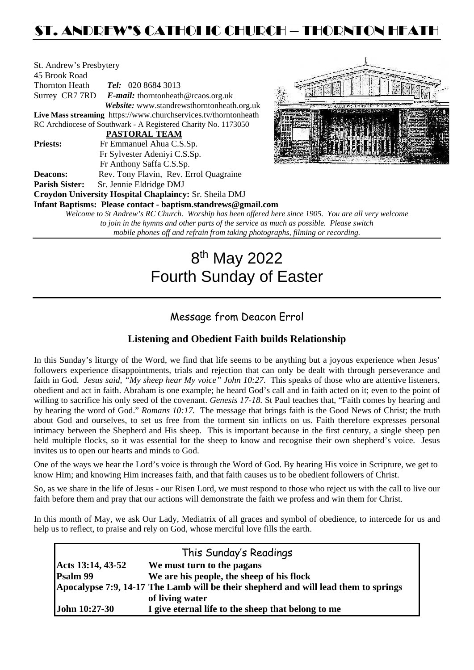## ST. ANDREW'S CATHOLIC CHURCH – THORNTON HEATH

| St. Andrew's Presbytery |                                                                     |  |  |  |  |
|-------------------------|---------------------------------------------------------------------|--|--|--|--|
| 45 Brook Road           |                                                                     |  |  |  |  |
| <b>Thornton Heath</b>   | Tel: 020 8684 3013                                                  |  |  |  |  |
| Surrey CR7 7RD          | <b><i>E-mail:</i></b> thorntonheath@rcaos.org.uk                    |  |  |  |  |
|                         | Website: www.standrewsthorntonheath.org.uk                          |  |  |  |  |
|                         | Live Mass streaming https://www.churchservices.tv/thorntonheath     |  |  |  |  |
|                         | RC Archdiocese of Southwark - A Registered Charity No. 1173050      |  |  |  |  |
|                         | <b>PASTORAL TEAM</b>                                                |  |  |  |  |
| <b>Priests:</b>         | Fr Emmanuel Ahua C.S.Sp.                                            |  |  |  |  |
|                         | Fr Sylvester Adeniyi C.S.Sp.                                        |  |  |  |  |
|                         | Fr Anthony Saffa C.S.Sp.                                            |  |  |  |  |
| <b>Deacons:</b>         | Rev. Tony Flavin, Rev. Errol Quagraine                              |  |  |  |  |
| <b>Parish Sister:</b>   | Sr. Jennie Eldridge DMJ                                             |  |  |  |  |
|                         | Croydon University Hospital Chaplaincy: Sr. Sheila DMJ              |  |  |  |  |
|                         | Infant Baptisms: Please contact - baptism.standrews@gmail.com       |  |  |  |  |
|                         | Welcome to St Andrew's RC Church. Worship has been offered here sin |  |  |  |  |
|                         |                                                                     |  |  |  |  |



*Welcome to St Andrew's RC Church. Worship has been offered here since 1905. You are all very welcome to join in the hymns and other parts of the service as much as possible. Please switch mobile phones off and refrain from taking photographs, filming or recording.*

# 8<sup>th</sup> May 2022 Fourth Sunday of Easter

## Message from Deacon Errol

## **Listening and Obedient Faith builds Relationship**

In this Sunday's liturgy of the Word, we find that life seems to be anything but a joyous experience when Jesus' followers experience disappointments, trials and rejection that can only be dealt with through perseverance and faith in God. *Jesus said, "My sheep hear My voice" John 10:27.* This speaks of those who are attentive listeners, obedient and act in faith. Abraham is one example; he heard God's call and in faith acted on it; even to the point of willing to sacrifice his only seed of the covenant. *Genesis 17-18.* St Paul teaches that, "Faith comes by hearing and by hearing the word of God." *Romans 10:17.* The message that brings faith is the Good News of Christ; the truth about God and ourselves, to set us free from the torment sin inflicts on us. Faith therefore expresses personal intimacy between the Shepherd and His sheep. This is important because in the first century, a single sheep pen held multiple flocks, so it was essential for the sheep to know and recognise their own shepherd's voice. Jesus invites us to open our hearts and minds to God.

One of the ways we hear the Lord's voice is through the Word of God. By hearing His voice in Scripture, we get to know Him; and knowing Him increases faith, and that faith causes us to be obedient followers of Christ.

So, as we share in the life of Jesus - our Risen Lord, we must respond to those who reject us with the call to live our faith before them and pray that our actions will demonstrate the faith we profess and win them for Christ.

In this month of May, we ask Our Lady, Mediatrix of all graces and symbol of obedience, to intercede for us and help us to reflect, to praise and rely on God, whose merciful love fills the earth.

| This Sunday's Readings |                                                                                     |  |  |  |
|------------------------|-------------------------------------------------------------------------------------|--|--|--|
| Acts 13:14, 43-52      | We must turn to the pagans                                                          |  |  |  |
| Psalm 99               | We are his people, the sheep of his flock                                           |  |  |  |
|                        | Apocalypse 7:9, 14-17 The Lamb will be their shepherd and will lead them to springs |  |  |  |
|                        | of living water                                                                     |  |  |  |
| John 10:27-30          | I give eternal life to the sheep that belong to me                                  |  |  |  |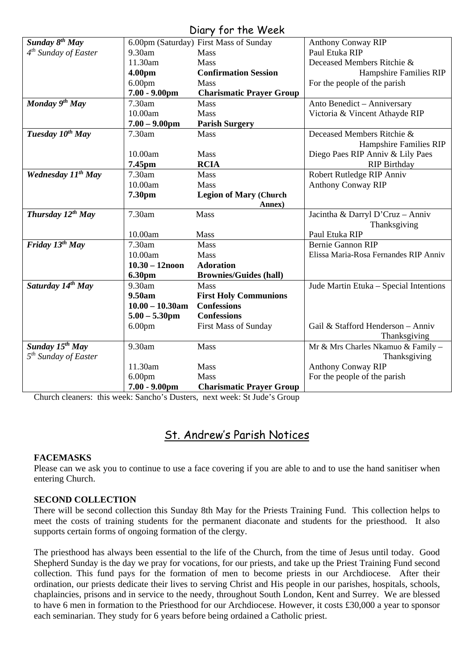### Diary for the Week

| UNIY JUI IIIE WEEN               |                    |                                        |                                        |  |  |  |
|----------------------------------|--------------------|----------------------------------------|----------------------------------------|--|--|--|
| Sunday $8^{th}$ May              |                    | 6.00pm (Saturday) First Mass of Sunday | <b>Anthony Conway RIP</b>              |  |  |  |
| $4^{th}$ Sunday of Easter        | 9.30am             | <b>Mass</b>                            | Paul Etuka RIP                         |  |  |  |
|                                  | 11.30am            | Mass                                   | Deceased Members Ritchie &             |  |  |  |
|                                  | 4.00pm             | <b>Confirmation Session</b>            | Hampshire Families RIP                 |  |  |  |
|                                  | 6.00 <sub>pm</sub> | Mass                                   | For the people of the parish           |  |  |  |
|                                  | $7.00 - 9.00$ pm   | <b>Charismatic Prayer Group</b>        |                                        |  |  |  |
| Monday 9th May                   | 7.30am             | <b>Mass</b>                            | Anto Benedict - Anniversary            |  |  |  |
|                                  | 10.00am            | Mass                                   | Victoria & Vincent Athayde RIP         |  |  |  |
|                                  | $7.00 - 9.00$ pm   | <b>Parish Surgery</b>                  |                                        |  |  |  |
| Tuesday 10 <sup>th</sup> May     | 7.30am             | Mass                                   | Deceased Members Ritchie &             |  |  |  |
|                                  |                    |                                        | <b>Hampshire Families RIP</b>          |  |  |  |
|                                  | 10.00am            | <b>Mass</b>                            | Diego Paes RIP Anniv & Lily Paes       |  |  |  |
|                                  | 7.45pm             | <b>RCIA</b>                            | <b>RIP Birthday</b>                    |  |  |  |
| Wednesday 11 <sup>th</sup> May   | 7.30am             | Mass                                   | Robert Rutledge RIP Anniv              |  |  |  |
|                                  | 10.00am            | Mass                                   | <b>Anthony Conway RIP</b>              |  |  |  |
|                                  | 7.30pm             | <b>Legion of Mary (Church</b>          |                                        |  |  |  |
|                                  |                    | Annex)                                 |                                        |  |  |  |
| Thursday $12^{th}$ May           | 7.30am             | Mass                                   | Jacintha & Darryl D'Cruz - Anniv       |  |  |  |
|                                  |                    |                                        | Thanksgiving                           |  |  |  |
|                                  | 10.00am            | Mass                                   | Paul Etuka RIP                         |  |  |  |
| Friday 13 <sup>th</sup> May      | 7.30am             | <b>Mass</b>                            | <b>Bernie Gannon RIP</b>               |  |  |  |
|                                  | 10.00am            | Mass                                   | Elissa Maria-Rosa Fernandes RIP Anniv  |  |  |  |
|                                  | $10.30 - 12$ noon  | <b>Adoration</b>                       |                                        |  |  |  |
|                                  | 6.30pm             | <b>Brownies/Guides (hall)</b>          |                                        |  |  |  |
| Saturday 14th May                | 9.30am             | <b>Mass</b>                            | Jude Martin Etuka - Special Intentions |  |  |  |
|                                  | 9.50am             | <b>First Holy Communions</b>           |                                        |  |  |  |
|                                  | $10.00 - 10.30$ am | <b>Confessions</b>                     |                                        |  |  |  |
|                                  | $5.00 - 5.30$ pm   | <b>Confessions</b>                     |                                        |  |  |  |
|                                  | 6.00 <sub>pm</sub> | <b>First Mass of Sunday</b>            | Gail & Stafford Henderson - Anniv      |  |  |  |
|                                  |                    |                                        | Thanksgiving                           |  |  |  |
| Sunday 15 <sup>th</sup> May      | 9.30am             | Mass                                   | Mr & Mrs Charles Nkamuo & Family -     |  |  |  |
| 5 <sup>th</sup> Sunday of Easter |                    |                                        | Thanksgiving                           |  |  |  |
|                                  | 11.30am            | Mass                                   | <b>Anthony Conway RIP</b>              |  |  |  |
|                                  | 6.00 <sub>pm</sub> | Mass                                   | For the people of the parish           |  |  |  |
|                                  | $7.00 - 9.00$ pm   | <b>Charismatic Prayer Group</b>        |                                        |  |  |  |

Church cleaners: this week: Sancho's Dusters, next week: St Jude's Group

## St. Andrew's Parish Notices

#### **FACEMASKS**

Please can we ask you to continue to use a face covering if you are able to and to use the hand sanitiser when entering Church.

#### **SECOND COLLECTION**

There will be second collection this Sunday 8th May for the Priests Training Fund. This collection helps to meet the costs of training students for the permanent diaconate and students for the priesthood. It also supports certain forms of ongoing formation of the clergy.

The priesthood has always been essential to the life of the Church, from the time of Jesus until today. Good Shepherd Sunday is the day we pray for vocations, for our priests, and take up the Priest Training Fund second collection. This fund pays for the formation of men to become priests in our Archdiocese. After their ordination, our priests dedicate their lives to serving Christ and His people in our parishes, hospitals, schools, chaplaincies, prisons and in service to the needy, throughout South London, Kent and Surrey. We are blessed to have 6 men in formation to the Priesthood for our Archdiocese. However, it costs £30,000 a year to sponsor each seminarian. They study for 6 years before being ordained a Catholic priest.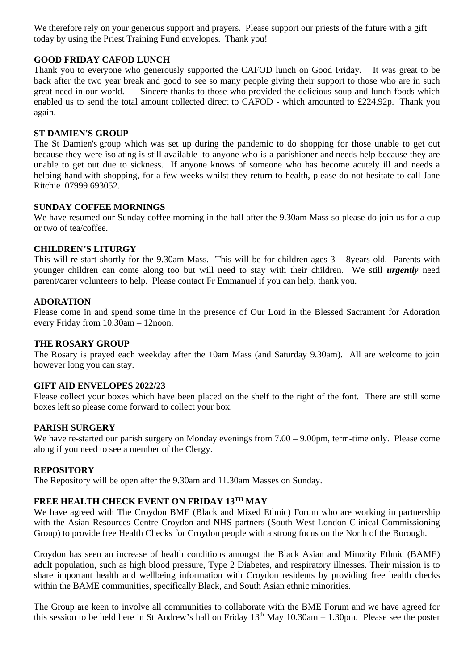We therefore rely on your generous support and prayers. Please support our priests of the future with a gift today by using the Priest Training Fund envelopes. Thank you!

#### **GOOD FRIDAY CAFOD LUNCH**

Thank you to everyone who generously supported the CAFOD lunch on Good Friday. It was great to be back after the two year break and good to see so many people giving their support to those who are in such great need in our world. Sincere thanks to those who provided the delicious soup and lunch foods which enabled us to send the total amount collected direct to CAFOD - which amounted to £224.92p. Thank you again.

#### **ST DAMIEN'S GROUP**

The St Damien's group which was set up during the pandemic to do shopping for those unable to get out because they were isolating is still available to anyone who is a parishioner and needs help because they are unable to get out due to sickness. If anyone knows of someone who has become acutely ill and needs a helping hand with shopping, for a few weeks whilst they return to health, please do not hesitate to call Jane Ritchie 07999 693052.

#### **SUNDAY COFFEE MORNINGS**

We have resumed our Sunday coffee morning in the hall after the 9.30am Mass so please do join us for a cup or two of tea/coffee.

#### **CHILDREN'S LITURGY**

This will re-start shortly for the 9.30am Mass. This will be for children ages 3 – 8years old. Parents with younger children can come along too but will need to stay with their children. We still *urgently* need parent/carer volunteers to help. Please contact Fr Emmanuel if you can help, thank you.

#### **ADORATION**

Please come in and spend some time in the presence of Our Lord in the Blessed Sacrament for Adoration every Friday from 10.30am – 12noon.

#### **THE ROSARY GROUP**

The Rosary is prayed each weekday after the 10am Mass (and Saturday 9.30am). All are welcome to join however long you can stay.

#### **GIFT AID ENVELOPES 2022/23**

Please collect your boxes which have been placed on the shelf to the right of the font. There are still some boxes left so please come forward to collect your box.

#### **PARISH SURGERY**

We have re-started our parish surgery on Monday evenings from  $7.00 - 9.00$ pm, term-time only. Please come along if you need to see a member of the Clergy.

#### **REPOSITORY**

The Repository will be open after the 9.30am and 11.30am Masses on Sunday.

#### **FREE HEALTH CHECK EVENT ON FRIDAY 13TH MAY**

We have agreed with The Croydon BME (Black and Mixed Ethnic) Forum who are working in partnership with the Asian Resources Centre Croydon and NHS partners (South West London Clinical Commissioning Group) to provide free Health Checks for Croydon people with a strong focus on the North of the Borough.

Croydon has seen an increase of health conditions amongst the Black Asian and Minority Ethnic (BAME) adult population, such as high blood pressure, Type 2 Diabetes, and respiratory illnesses. Their mission is to share important health and wellbeing information with Croydon residents by providing free health checks within the BAME communities, specifically Black, and South Asian ethnic minorities.

The Group are keen to involve all communities to collaborate with the BME Forum and we have agreed for this session to be held here in St Andrew's hall on Friday  $13<sup>th</sup>$  May 10.30am – 1.30pm. Please see the poster